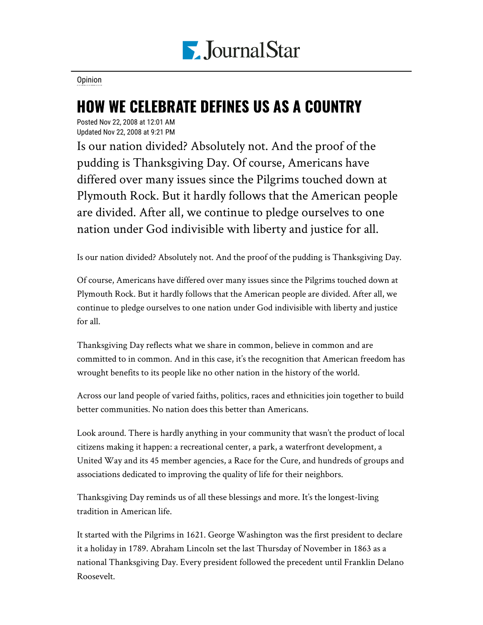

[Opinion](https://www.pjstar.com/search?text=Opinion)

## HOW WE CELEBRATE DEFINES US AS A COUNTRY

Posted Nov 22, 2008 at 12:01 AM Updated Nov 22, 2008 at 9:21 PM

Is our nation divided? Absolutely not. And the proof of the pudding is Thanksgiving Day. Of course, Americans have differed over many issues since the Pilgrims touched down at Plymouth Rock. But it hardly follows that the American people are divided. After all, we continue to pledge ourselves to one nation under God indivisible with liberty and justice for all.

Is our nation divided? Absolutely not. And the proof of the pudding is Thanksgiving Day.

Of course, Americans have differed over many issues since the Pilgrims touched down at Plymouth Rock. But it hardly follows that the American people are divided. After all, we continue to pledge ourselves to one nation under God indivisible with liberty and justice for all.

Thanksgiving Day reflects what we share in common, believe in common and are committed to in common. And in this case, it's the recognition that American freedom has wrought benefits to its people like no other nation in the history of the world.

Across our land people of varied faiths, politics, races and ethnicities join together to build better communities. No nation does this better than Americans.

Look around. There is hardly anything in your community that wasn't the product of local citizens making it happen: a recreational center, a park, a waterfront development, a United Way and its 45 member agencies, a Race for the Cure, and hundreds of groups and associations dedicated to improving the quality of life for their neighbors.

Thanksgiving Day reminds us of all these blessings and more. It's the longest-living tradition in American life.

It started with the Pilgrims in 1621. George Washington was the first president to declare it a holiday in 1789. Abraham Lincoln set the last Thursday of November in 1863 as a national Thanksgiving Day. Every president followed the precedent until Franklin Delano Roosevelt.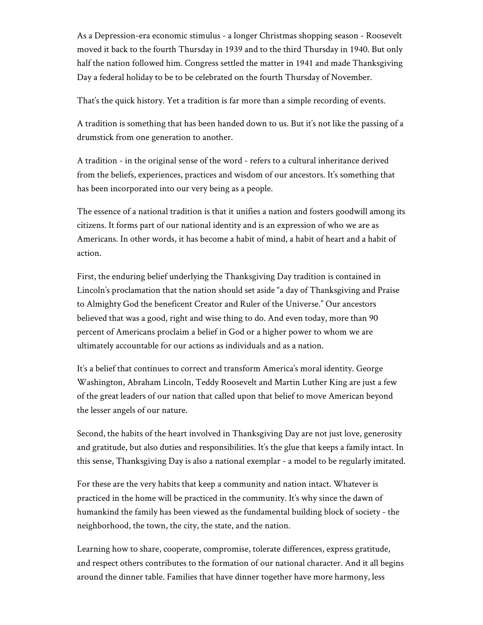As a Depression-era economic stimulus - a longer Christmas shopping season - Roosevelt moved it back to the fourth Thursday in 1939 and to the third Thursday in 1940. But only half the nation followed him. Congress settled the matter in 1941 and made Thanksgiving Day a federal holiday to be to be celebrated on the fourth Thursday of November.

That's the quick history. Yet a tradition is far more than a simple recording of events.

A tradition is something that has been handed down to us. But it's not like the passing of a drumstick from one generation to another.

A tradition - in the original sense of the word - refers to a cultural inheritance derived from the beliefs, experiences, practices and wisdom of our ancestors. It's something that has been incorporated into our very being as a people.

The essence of a national tradition is that it unifies a nation and fosters goodwill among its citizens. It forms part of our national identity and is an expression of who we are as Americans. In other words, it has become a habit of mind, a habit of heart and a habit of action.

First, the enduring belief underlying the Thanksgiving Day tradition is contained in Lincoln's proclamation that the nation should set aside "a day of Thanksgiving and Praise to Almighty God the beneficent Creator and Ruler of the Universe." Our ancestors believed that was a good, right and wise thing to do. And even today, more than 90 percent of Americans proclaim a belief in God or a higher power to whom we are ultimately accountable for our actions as individuals and as a nation.

It's a belief that continues to correct and transform America's moral identity. George Washington, Abraham Lincoln, Teddy Roosevelt and Martin Luther King are just a few of the great leaders of our nation that called upon that belief to move American beyond the lesser angels of our nature.

Second, the habits of the heart involved in Thanksgiving Day are not just love, generosity and gratitude, but also duties and responsibilities. It's the glue that keeps a family intact. In this sense, Thanksgiving Day is also a national exemplar - a model to be regularly imitated.

For these are the very habits that keep a community and nation intact. Whatever is practiced in the home will be practiced in the community. It's why since the dawn of humankind the family has been viewed as the fundamental building block of society - the neighborhood, the town, the city, the state, and the nation.

Learning how to share, cooperate, compromise, tolerate differences, express gratitude, and respect others contributes to the formation of our national character. And it all begins around the dinner table. Families that have dinner together have more harmony, less